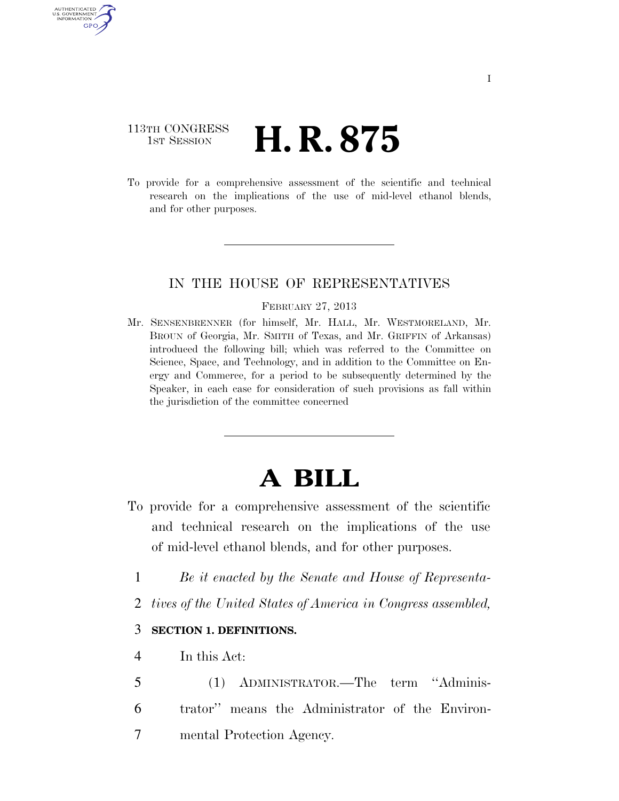# 113TH CONGRESS **1st Session H. R. 875**

AUTHENTICATED U.S. GOVERNMENT GPO

> To provide for a comprehensive assessment of the scientific and technical research on the implications of the use of mid-level ethanol blends, and for other purposes.

## IN THE HOUSE OF REPRESENTATIVES

#### FEBRUARY 27, 2013

Mr. SENSENBRENNER (for himself, Mr. HALL, Mr. WESTMORELAND, Mr. BROUN of Georgia, Mr. SMITH of Texas, and Mr. GRIFFIN of Arkansas) introduced the following bill; which was referred to the Committee on Science, Space, and Technology, and in addition to the Committee on Energy and Commerce, for a period to be subsequently determined by the Speaker, in each case for consideration of such provisions as fall within the jurisdiction of the committee concerned

# **A BILL**

- To provide for a comprehensive assessment of the scientific and technical research on the implications of the use of mid-level ethanol blends, and for other purposes.
	- 1 *Be it enacted by the Senate and House of Representa-*
	- 2 *tives of the United States of America in Congress assembled,*

#### 3 **SECTION 1. DEFINITIONS.**

4 In this Act:

5 (1) ADMINISTRATOR.—The term ''Adminis-6 trator'' means the Administrator of the Environ-7 mental Protection Agency.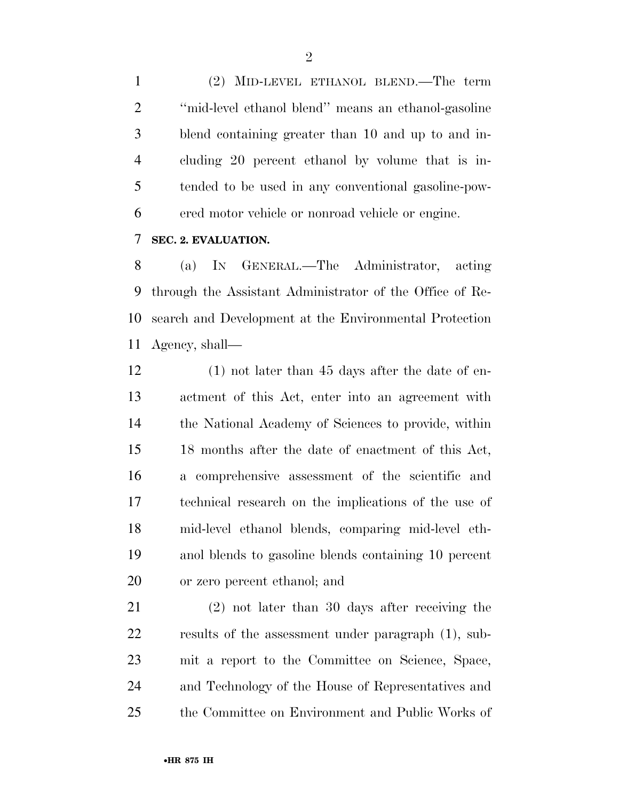(2) MID-LEVEL ETHANOL BLEND.—The term ''mid-level ethanol blend'' means an ethanol-gasoline blend containing greater than 10 and up to and in- cluding 20 percent ethanol by volume that is in- tended to be used in any conventional gasoline-pow-ered motor vehicle or nonroad vehicle or engine.

#### **SEC. 2. EVALUATION.**

 (a) IN GENERAL.—The Administrator, acting through the Assistant Administrator of the Office of Re- search and Development at the Environmental Protection Agency, shall—

 (1) not later than 45 days after the date of en- actment of this Act, enter into an agreement with the National Academy of Sciences to provide, within 18 months after the date of enactment of this Act, a comprehensive assessment of the scientific and technical research on the implications of the use of mid-level ethanol blends, comparing mid-level eth- anol blends to gasoline blends containing 10 percent or zero percent ethanol; and

 (2) not later than 30 days after receiving the results of the assessment under paragraph (1), sub- mit a report to the Committee on Science, Space, and Technology of the House of Representatives and the Committee on Environment and Public Works of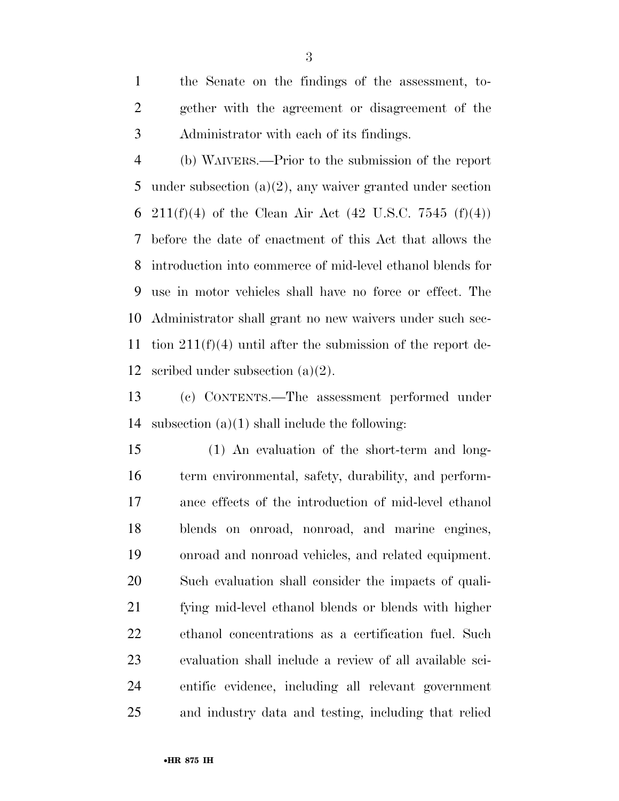the Senate on the findings of the assessment, to- gether with the agreement or disagreement of the Administrator with each of its findings.

 (b) WAIVERS.—Prior to the submission of the report under subsection (a)(2), any waiver granted under section 6 211(f)(4) of the Clean Air Act (42 U.S.C. 7545 (f)(4)) before the date of enactment of this Act that allows the introduction into commerce of mid-level ethanol blends for use in motor vehicles shall have no force or effect. The Administrator shall grant no new waivers under such sec- tion 211(f)(4) until after the submission of the report de-scribed under subsection (a)(2).

 (c) CONTENTS.—The assessment performed under 14 subsection  $(a)(1)$  shall include the following:

 (1) An evaluation of the short-term and long- term environmental, safety, durability, and perform- ance effects of the introduction of mid-level ethanol blends on onroad, nonroad, and marine engines, onroad and nonroad vehicles, and related equipment. Such evaluation shall consider the impacts of quali- fying mid-level ethanol blends or blends with higher ethanol concentrations as a certification fuel. Such evaluation shall include a review of all available sci- entific evidence, including all relevant government and industry data and testing, including that relied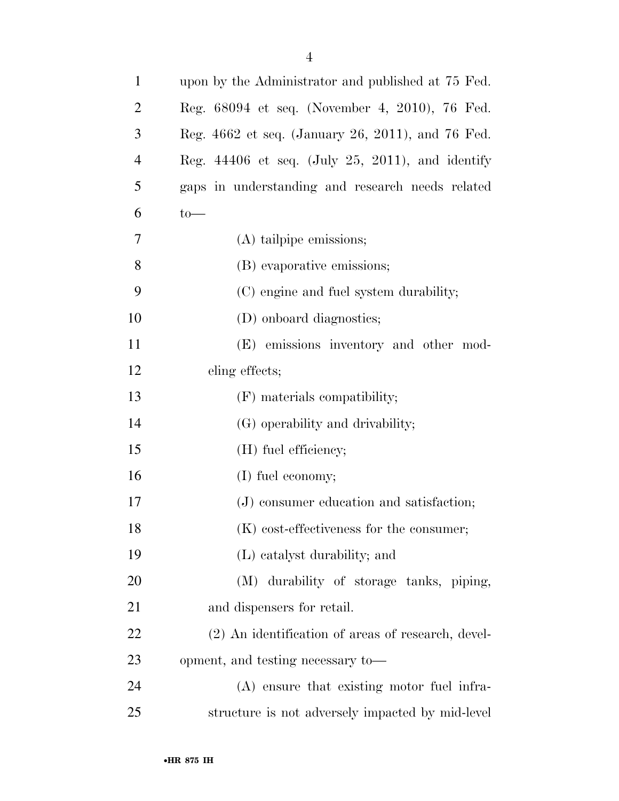| $\mathbf{1}$   | upon by the Administrator and published at 75 Fed. |
|----------------|----------------------------------------------------|
| $\overline{2}$ | Reg. 68094 et seq. (November 4, 2010), 76 Fed.     |
| 3              | Reg. 4662 et seq. (January 26, 2011), and 76 Fed.  |
| $\overline{4}$ | Reg. $44406$ et seq. (July 25, 2011), and identify |
| 5              | gaps in understanding and research needs related   |
| 6              | $to-$                                              |
| 7              | (A) tailpipe emissions;                            |
| 8              | (B) evaporative emissions;                         |
| 9              | (C) engine and fuel system durability;             |
| 10             | (D) onboard diagnostics;                           |
| 11             | (E) emissions inventory and other mod-             |
| 12             | eling effects;                                     |
| 13             | (F) materials compatibility;                       |
| 14             | (G) operability and drivability;                   |
| 15             | (H) fuel efficiency;                               |
| 16             | (I) fuel economy;                                  |
| 17             | (J) consumer education and satisfaction;           |
| 18             | $(K)$ cost-effectiveness for the consumer;         |
| 19             | (L) catalyst durability; and                       |
| 20             | (M) durability of storage tanks, piping,           |
| 21             | and dispensers for retail.                         |
| 22             | (2) An identification of areas of research, devel- |
| 23             | opment, and testing necessary to-                  |
| 24             | (A) ensure that existing motor fuel infra-         |
| 25             | structure is not adversely impacted by mid-level   |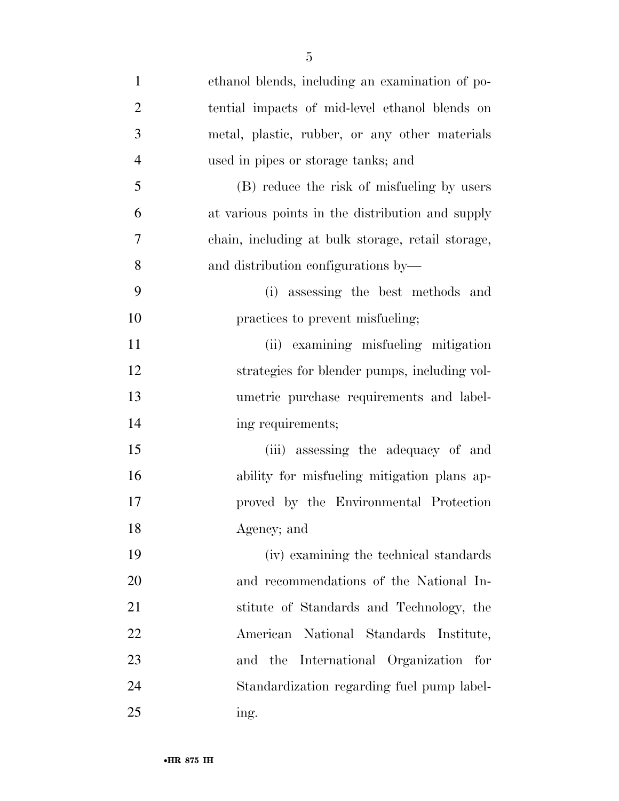| $\mathbf{1}$   | ethanol blends, including an examination of po-   |
|----------------|---------------------------------------------------|
| $\overline{2}$ | tential impacts of mid-level ethanol blends on    |
| 3              | metal, plastic, rubber, or any other materials    |
| $\overline{4}$ | used in pipes or storage tanks; and               |
| 5              | (B) reduce the risk of misfueling by users        |
| 6              | at various points in the distribution and supply  |
| 7              | chain, including at bulk storage, retail storage, |
| 8              | and distribution configurations by—               |
| 9              | (i) assessing the best methods and                |
| 10             | practices to prevent misfueling;                  |
| 11             | (ii) examining misfueling mitigation              |
| 12             | strategies for blender pumps, including vol-      |
| 13             | umetric purchase requirements and label-          |
| 14             | ing requirements;                                 |
| 15             | (iii) assessing the adequacy of and               |
| 16             | ability for misfueling mitigation plans ap-       |
| 17             | proved by the Environmental Protection            |
| 18             | Agency; and                                       |
| 19             | (iv) examining the technical standards            |
| 20             | and recommendations of the National In-           |
| 21             | stitute of Standards and Technology, the          |
| 22             | National Standards Institute,<br>American         |
| 23             | International Organization for<br>the<br>and      |
| 24             | Standardization regarding fuel pump label-        |
| 25             | ing.                                              |